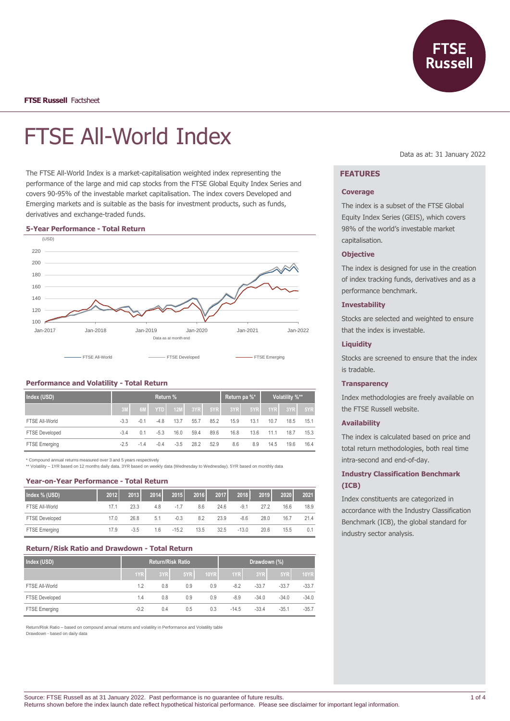

**FTSE Russell** Factsheet

# FTSE All-World Index

The FTSE All-World Index is a market-capitalisation weighted index representing the performance of the large and mid cap stocks from the FTSE Global Equity Index Series and covers 90-95% of the investable market capitalisation. The index covers Developed and Emerging markets and is suitable as the basis for investment products, such as funds, derivatives and exchange-traded funds.

#### **5-Year Performance - Total Return**



# **Performance and Volatility - Total Return**

| Index (USD)           | <b>Return</b> % |        |            |        |      |      | Return pa %* |      | Volatility %** |      |      |
|-----------------------|-----------------|--------|------------|--------|------|------|--------------|------|----------------|------|------|
|                       | 3M              | 6M     | <b>YTD</b> | 12M    | 3YR  | 5YR  | 3YR          | 5YR  | 1YR            | 3YR  | 5YR  |
| FTSE All-World        | $-3.3$          | $-0.1$ | -4.8       | 13.7   | 55.7 | 85.2 | 15.9         | 13.1 | 10.7           | 18.5 | 15.1 |
| <b>FTSE Developed</b> | $-3.4$          | 0.1    | $-5.3$     | 16.0   | 59.4 | 89.6 | 16.8         | 13.6 | 11.1           | 18.7 | 15.3 |
| FTSE Emerging         | $-2.5$          | $-1.4$ | $-0.4$     | $-3.5$ | 28.2 | 52.9 | 8.6          | 8.9  | 14.5           | 19.6 | 16.4 |

\* Compound annual returns measured over 3 and 5 years respectively

\*\* Volatility – 1YR based on 12 months daily data. 3YR based on weekly data (Wednesday to Wednesday). 5YR based on monthly data

## **Year-on-Year Performance - Total Return**

| Index % (USD)         | 2012 | 2013   | 2014 | 2015    | 2016 | 2017 | 2018    | 2019 | 2020 | 2021 |
|-----------------------|------|--------|------|---------|------|------|---------|------|------|------|
| FTSE All-World        | 17.1 | 23.3   | 4.8  | $-1.7$  | 8.6  | 24.6 | $-9.1$  | 27.2 | 16.6 | 18.9 |
| <b>FTSE Developed</b> | 17.0 | 26.8   | 5.1  | $-0.3$  | 8.2  | 23.9 | $-8.6$  | 28.0 | 16.7 | 21.4 |
| FTSE Emerging         | 17.9 | $-3.5$ | 1.6  | $-15.2$ | 13.5 | 32.5 | $-13.0$ | 20.6 | 15.5 | 0.1  |

# **Return/Risk Ratio and Drawdown - Total Return**

| Index (USD)           | <b>Return/Risk Ratio</b> |     |     |             | Drawdown (%) |         |         |             |
|-----------------------|--------------------------|-----|-----|-------------|--------------|---------|---------|-------------|
|                       | 1YR                      | 3YR | 5YR | <b>10YR</b> | 1YR          | 3YR     | 5YR     | <b>10YR</b> |
| FTSE All-World        | 1.2                      | 0.8 | 0.9 | 0.9         | $-8.2$       | $-33.7$ | $-33.7$ | $-33.7$     |
| <b>FTSE Developed</b> | 1.4                      | 0.8 | 0.9 | 0.9         | $-8.9$       | $-34.0$ | $-34.0$ | $-34.0$     |
| FTSE Emerging         | $-0.2$                   | 0.4 | 0.5 | 0.3         | $-14.5$      | $-33.4$ | $-35.1$ | $-35.7$     |

Return/Risk Ratio – based on compound annual returns and volatility in Performance and Volatility table Drawdown - based on daily data

#### Data as at: 31 January 2022

# **FEATURES**

#### **Coverage**

The index is a subset of the FTSE Global Equity Index Series (GEIS), which covers 98% of the world's investable market capitalisation.

## **Objective**

The index is designed for use in the creation of index tracking funds, derivatives and as a performance benchmark.

#### **Investability**

Stocks are selected and weighted to ensure that the index is investable.

### **Liquidity**

Stocks are screened to ensure that the index is tradable.

#### **Transparency**

Index methodologies are freely available on the FTSE Russell website.

#### **Availability**

The index is calculated based on price and total return methodologies, both real time intra-second and end-of-day.

# **Industry Classification Benchmark (ICB)**

Index constituents are categorized in accordance with the Industry Classification Benchmark (ICB), the global standard for industry sector analysis.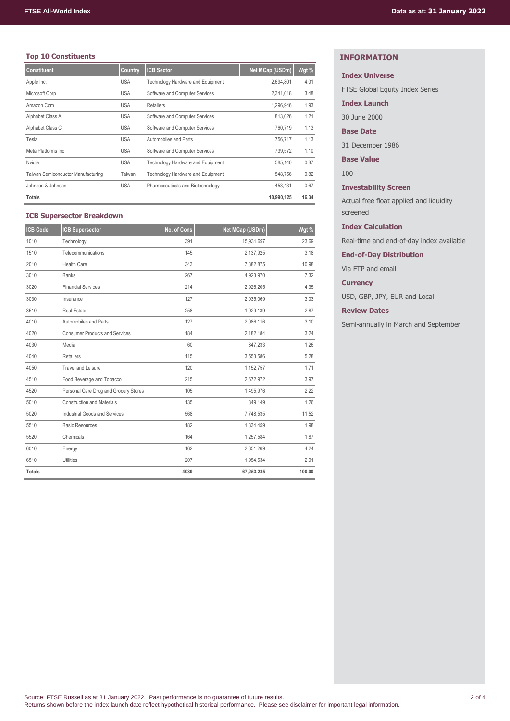# **Top 10 Constituents**

| <b>Constituent</b>                 | Country    | <b>ICB Sector</b>                 | Net MCap (USDm) | Wgt % |
|------------------------------------|------------|-----------------------------------|-----------------|-------|
| Apple Inc.                         | <b>USA</b> | Technology Hardware and Equipment | 2,694,801       | 4.01  |
| Microsoft Corp                     | <b>USA</b> | Software and Computer Services    | 2,341,018       | 3.48  |
| Amazon.Com                         | <b>USA</b> | <b>Retailers</b>                  | 1,296,946       | 1.93  |
| Alphabet Class A                   | <b>USA</b> | Software and Computer Services    | 813,026         | 1.21  |
| Alphabet Class C                   | <b>USA</b> | Software and Computer Services    | 760.719         | 1.13  |
| Tesla                              | <b>USA</b> | Automobiles and Parts             | 756.717         | 1.13  |
| Meta Platforms Inc.                | <b>USA</b> | Software and Computer Services    | 739,572         | 1.10  |
| Nvidia                             | <b>USA</b> | Technology Hardware and Equipment | 585.140         | 0.87  |
| Taiwan Semiconductor Manufacturing | Taiwan     | Technology Hardware and Equipment | 548,756         | 0.82  |
| Johnson & Johnson                  | <b>USA</b> | Pharmaceuticals and Biotechnology | 453.431         | 0.67  |
| Totals                             |            |                                   | 10,990,125      | 16.34 |

## **ICB Supersector Breakdown**

| <b>ICB Code</b> | <b>ICB Supersector</b>                | No. of Cons | Net MCap (USDm) | Wgt %  |
|-----------------|---------------------------------------|-------------|-----------------|--------|
| 1010            | Technology                            | 391         | 15,931,697      | 23.69  |
| 1510            | Telecommunications                    | 145         | 2,137,925       | 3.18   |
| 2010            | <b>Health Care</b>                    | 343         | 7,382,875       | 10.98  |
| 3010            | <b>Banks</b>                          | 267         | 4,923,970       | 7.32   |
| 3020            | <b>Financial Services</b>             | 214         | 2,926,205       | 4.35   |
| 3030            | Insurance                             | 127         | 2,035,069       | 3.03   |
| 3510            | <b>Real Estate</b>                    | 258         | 1,929,139       | 2.87   |
| 4010            | Automobiles and Parts                 | 127         | 2,086,116       | 3.10   |
| 4020            | <b>Consumer Products and Services</b> | 184         | 2,182,184       | 3.24   |
| 4030            | Media                                 | 60          | 847,233         | 1.26   |
| 4040            | Retailers                             | 115         | 3,553,586       | 5.28   |
| 4050            | <b>Travel and Leisure</b>             | 120         | 1,152,757       | 1.71   |
| 4510            | Food Beverage and Tobacco             | 215         | 2,672,972       | 3.97   |
| 4520            | Personal Care Drug and Grocery Stores | 105         | 1,495,976       | 2.22   |
| 5010            | <b>Construction and Materials</b>     | 135         | 849,149         | 1.26   |
| 5020            | <b>Industrial Goods and Services</b>  | 568         | 7,748,535       | 11.52  |
| 5510            | <b>Basic Resources</b>                | 182         | 1,334,459       | 1.98   |
| 5520            | Chemicals                             | 164         | 1,257,584       | 1.87   |
| 6010            | Energy                                | 162         | 2,851,269       | 4.24   |
| 6510            | <b>Utilities</b>                      | 207         | 1,954,534       | 2.91   |
| <b>Totals</b>   |                                       | 4089        | 67,253,235      | 100.00 |

# **INFORMATION**

## **Index Universe**

FTSE Global Equity Index Series

**Index Launch**

30 June 2000

**Base Date**

31 December 1986

**Base Value**

100

**Investability Screen**

Actual free float applied and liquidity screened

**Index Calculation**

Real-time and end-of-day index available

**End-of-Day Distribution**

Via FTP and email

**Currency**

USD, GBP, JPY, EUR and Local

**Review Dates**

Semi-annually in March and September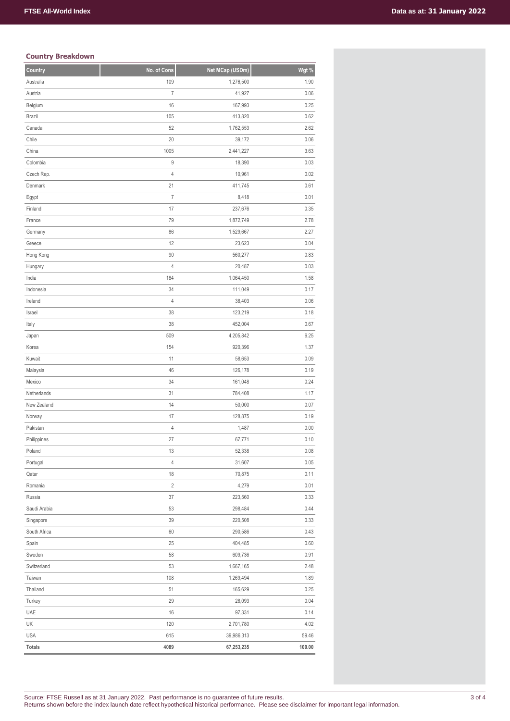# **Country Breakdown**

| Country       | No. of Cons    | Net MCap (USDm) | Wgt %  |
|---------------|----------------|-----------------|--------|
| Australia     | 109            | 1,276,500       | 1.90   |
| Austria       | $\overline{I}$ | 41,927          | 0.06   |
| Belgium       | 16             | 167,993         | 0.25   |
| <b>Brazil</b> | 105            | 413,820         | 0.62   |
| Canada        | 52             | 1,762,553       | 2.62   |
| Chile         | 20             | 39,172          | 0.06   |
| China         | 1005           | 2,441,227       | 3.63   |
| Colombia      | 9              | 18,390          | 0.03   |
| Czech Rep.    | 4              | 10,961          | 0.02   |
| Denmark       | 21             | 411,745         | 0.61   |
| Egypt         | $\overline{I}$ | 8,418           | 0.01   |
| Finland       | 17             | 237,676         | 0.35   |
| France        | 79             | 1,872,749       | 2.78   |
| Germany       | 86             | 1,529,667       | 2.27   |
| Greece        | 12             | 23,623          | 0.04   |
| Hong Kong     | 90             | 560,277         | 0.83   |
| Hungary       | 4              | 20,487          | 0.03   |
| India         | 184            | 1,064,450       | 1.58   |
| Indonesia     | 34             | 111,049         | 0.17   |
| Ireland       | $\overline{4}$ | 38,403          | 0.06   |
| Israel        | 38             | 123,219         | 0.18   |
| Italy         | 38             | 452,004         | 0.67   |
| Japan         | 509            | 4,205,842       | 6.25   |
| Korea         | 154            | 920,396         | 1.37   |
| Kuwait        | 11             | 58,653          | 0.09   |
| Malaysia      | 46             | 126,178         | 0.19   |
| Mexico        | 34             | 161,048         | 0.24   |
| Netherlands   | 31             | 784,408         | 1.17   |
| New Zealand   | 14             | 50,000          | 0.07   |
| Norway        | 17             | 128,875         | 0.19   |
| Pakistan      | $\overline{4}$ | 1,487           | 0.00   |
| Philippines   | 27             | 67,771          | 0.10   |
| Poland        | 13             | 52,338          | 0.08   |
| Portugal      | 4              | 31,607          | 0.05   |
| Qatar         | 18             | 70,875          | 0.11   |
| Romania       | $\overline{2}$ | 4,279           | 0.01   |
| Russia        | 37             | 223,560         | 0.33   |
| Saudi Arabia  | 53             | 298,484         | 0.44   |
| Singapore     | 39             | 220,508         | 0.33   |
| South Africa  | 60             | 290,586         | 0.43   |
| Spain         | 25             | 404,485         | 0.60   |
| Sweden        | 58             | 609,736         | 0.91   |
| Switzerland   | 53             | 1,667,165       | 2.48   |
| Taiwan        | 108            | 1,269,494       | 1.89   |
| Thailand      | 51             | 165,629         | 0.25   |
| Turkey        | 29             | 28,093          | 0.04   |
| UAE           | 16             | 97,331          | 0.14   |
| UK            | 120            | 2,701,780       | 4.02   |
| <b>USA</b>    | 615            | 39,986,313      | 59.46  |
| <b>Totals</b> | 4089           | 67,253,235      | 100.00 |